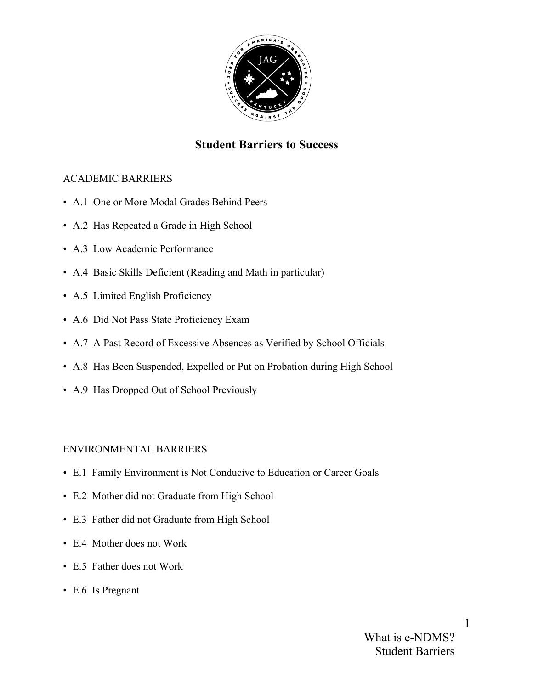

# **Student Barriers to Success**

# ACADEMIC BARRIERS

- A.1 One or More Modal Grades Behind Peers
- A.2 Has Repeated a Grade in High School
- A.3 Low Academic Performance
- A.4 Basic Skills Deficient (Reading and Math in particular)
- A.5 Limited English Proficiency
- A.6 Did Not Pass State Proficiency Exam
- A.7 A Past Record of Excessive Absences as Verified by School Officials
- A.8 Has Been Suspended, Expelled or Put on Probation during High School
- A.9 Has Dropped Out of School Previously

# ENVIRONMENTAL BARRIERS

- E.1 Family Environment is Not Conducive to Education or Career Goals
- E.2 Mother did not Graduate from High School
- E.3 Father did not Graduate from High School
- E.4 Mother does not Work
- E.5 Father does not Work
- E.6 Is Pregnant

1